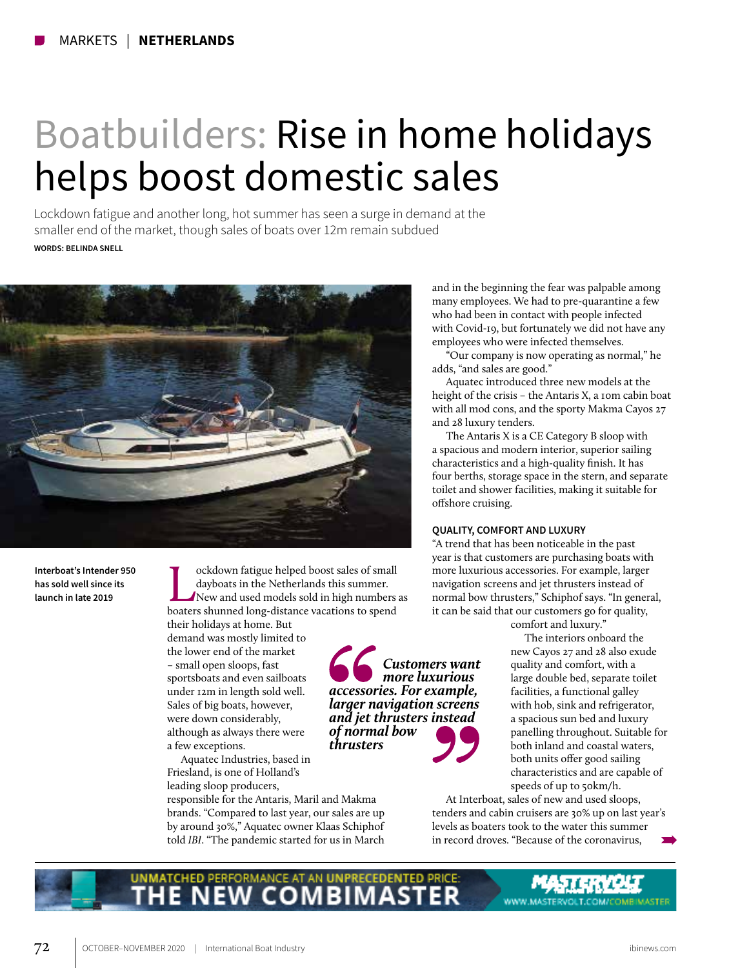# Boatbuilders: Rise in home holidays helps boost domestic sales

Lockdown fatigue and another long, hot summer has seen a surge in demand at the smaller end of the market, though sales of boats over 12m remain subdued **WORDS: BELINDA SNELL**



**Interboat's Intender 950 has sold well since its launch in late 2019**

**Lockdown fatigue helped boost sales of small<br>dayboats in the Netherlands this summer.<br>New and used models sold in high numbers as<br>boaters shunned long-distance vacations to spend** dayboats in the Netherlands this summer. boaters shunned long-distance vacations to spend

their holidays at home. But demand was mostly limited to the lower end of the market – small open sloops, fast sportsboats and even sailboats under 12m in length sold well. Sales of big boats, however, were down considerably, although as always there were a few exceptions.

Aquatec Industries, based in Friesland, is one of Holland's leading sloop producers,

responsible for the Antaris, Maril and Makma brands. "Compared to last year, our sales are up by around 30%," Aquatec owner Klaas Schiphof told *IBI*. "The pandemic started for us in March and in the beginning the fear was palpable among many employees. We had to pre-quarantine a few who had been in contact with people infected with Covid-19, but fortunately we did not have any employees who were infected themselves.

"Our company is now operating as normal," he adds, "and sales are good."

Aquatec introduced three new models at the height of the crisis – the Antaris X, a 10m cabin boat with all mod cons, and the sporty Makma Cayos 27 and 28 luxury tenders.

The Antaris X is a CE Category B sloop with a spacious and modern interior, superior sailing characteristics and a high-quality finish. It has four berths, storage space in the stern, and separate toilet and shower facilities, making it suitable for offshore cruising.

## **QUALITY, COMFORT AND LUXURY**

*Customers want more luxurious* 

*accessories. For example, larger navigation screens and jet thrusters instead* 

*of normal bow thrusters*

"A trend that has been noticeable in the past year is that customers are purchasing boats with more luxurious accessories. For example, larger navigation screens and jet thrusters instead of normal bow thrusters," Schiphof says. "In general, it can be said that our customers go for quality,

comfort and luxury."

The interiors onboard the new Cayos 27 and 28 also exude quality and comfort, with a large double bed, separate toilet facilities, a functional galley with hob, sink and refrigerator, a spacious sun bed and luxury panelling throughout. Suitable for both inland and coastal waters, both units offer good sailing characteristics and are capable of speeds of up to 50km/h.

WWW.MASTERVOLT.COM/COMBIMASTER

At Interboat, sales of new and used sloops, tenders and cabin cruisers are 30% up on last year's levels as boaters took to the water this summer in record droves. "Because of the coronavirus,

**ITCHED PERFORMANCE AT AN UNPRECEDENTED PRICE:** COMBI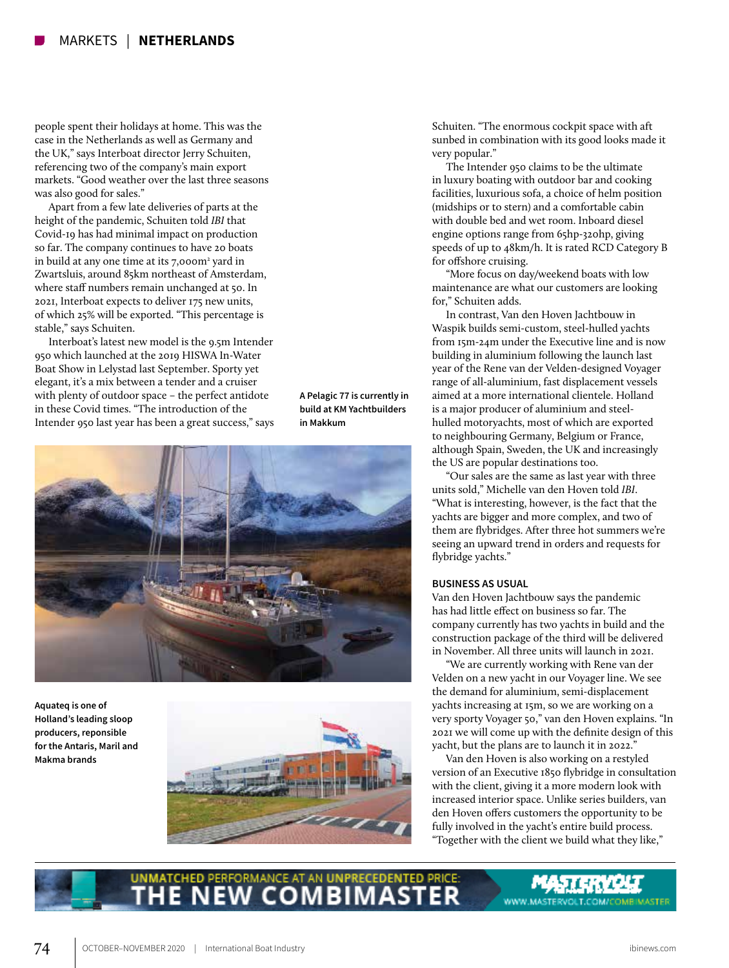people spent their holidays at home. This was the case in the Netherlands as well as Germany and the UK," says Interboat director Jerry Schuiten, referencing two of the company's main export markets. "Good weather over the last three seasons was also good for sales."

Apart from a few late deliveries of parts at the height of the pandemic, Schuiten told *IBI* that Covid-19 has had minimal impact on production so far. The company continues to have 20 boats in build at any one time at its 7,000m<sup>2</sup> yard in Zwartsluis, around 85km northeast of Amsterdam, where staff numbers remain unchanged at 50. In 2021, Interboat expects to deliver 175 new units, of which 25% will be exported. "This percentage is stable," says Schuiten.

Interboat's latest new model is the 9.5m Intender 950 which launched at the 2019 HISWA In-Water Boat Show in Lelystad last September. Sporty yet elegant, it's a mix between a tender and a cruiser with plenty of outdoor space – the perfect antidote in these Covid times. "The introduction of the Intender 950 last year has been a great success," says

**A Pelagic 77 is currently in build at KM Yachtbuilders in Makkum**



**Aquateq is one of Holland's leading sloop producers, reponsible for the Antaris, Maril and Makma brands**



Schuiten. "The enormous cockpit space with aft sunbed in combination with its good looks made it very popular."

The Intender 950 claims to be the ultimate in luxury boating with outdoor bar and cooking facilities, luxurious sofa, a choice of helm position (midships or to stern) and a comfortable cabin with double bed and wet room. Inboard diesel engine options range from 65hp-320hp, giving speeds of up to 48km/h. It is rated RCD Category B for offshore cruising.

"More focus on day/weekend boats with low maintenance are what our customers are looking for," Schuiten adds.

In contrast, Van den Hoven Jachtbouw in Waspik builds semi-custom, steel-hulled yachts from 15m-24m under the Executive line and is now building in aluminium following the launch last year of the Rene van der Velden-designed Voyager range of all-aluminium, fast displacement vessels aimed at a more international clientele. Holland is a major producer of aluminium and steelhulled motoryachts, most of which are exported to neighbouring Germany, Belgium or France, although Spain, Sweden, the UK and increasingly the US are popular destinations too.

"Our sales are the same as last year with three units sold," Michelle van den Hoven told *IBI*. "What is interesting, however, is the fact that the yachts are bigger and more complex, and two of them are flybridges. After three hot summers we're seeing an upward trend in orders and requests for flybridge yachts."

#### **BUSINESS AS USUAL**

Van den Hoven Jachtbouw says the pandemic has had little effect on business so far. The company currently has two yachts in build and the construction package of the third will be delivered in November. All three units will launch in 2021.

"We are currently working with Rene van der Velden on a new yacht in our Voyager line. We see the demand for aluminium, semi-displacement yachts increasing at 15m, so we are working on a very sporty Voyager 50," van den Hoven explains. "In 2021 we will come up with the definite design of this yacht, but the plans are to launch it in 2022."

Van den Hoven is also working on a restyled version of an Executive 1850 flybridge in consultation with the client, giving it a more modern look with increased interior space. Unlike series builders, van den Hoven offers customers the opportunity to be fully involved in the yacht's entire build process. "Together with the client we build what they like,"

# **UNMATCHED PERFORMANCE AT AN UNPRECEDENTED PRICE**

WWW.MASTERVOLT.COM/COMBIMASTER